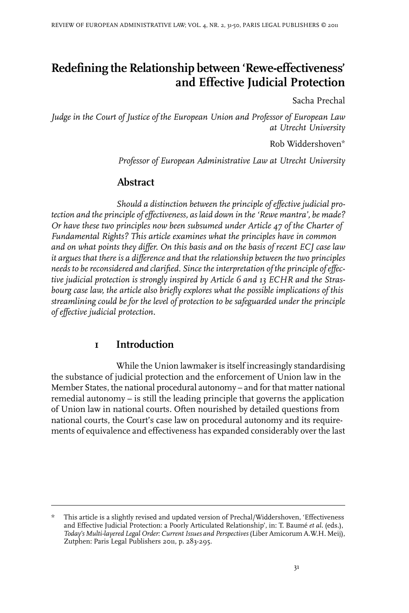# **Redefining the Relationship between 'Rewe-effectiveness' and Effective Judicial Protection**

Sacha Prechal

*Judge in the Court of Justice of the European Union and Professor of European Law at Utrecht University*

Rob Widdershoven\*

*Professor of European Administrative Law at Utrecht University*

# **Abstract**

*Should a distinction between the principle of effective judicial protection and the principle of effectiveness, as laid down in the 'Rewe mantra', be made? Or have these two principles now been subsumed under Article 47 of the Charter of Fundamental Rights? This article examines what the principles have in common and on what points they differ. On this basis and on the basis of recent ECJ case law it argues that there is a difference and that the relationship between the two principles needs to be reconsidered and clarified. Since the interpretation of the principle of effective judicial protection is strongly inspired by Article 6 and 13 ECHR and the Strasbourg case law, the article also briefly explores what the possible implications of this streamlining could be for the level of protection to be safeguarded under the principle of effective judicial protection.*

# **1 Introduction**

While the Union lawmaker is itself increasingly standardising the substance of judicial protection and the enforcement of Union law in the Member States, the national procedural autonomy - and for that matter national remedial autonomy – is still the leading principle that governs the application of Union law in national courts. Often nourished by detailed questions from national courts, the Court's case law on procedural autonomy and its requirements of equivalence and effectiveness has expanded considerably over the last

This article is a slightly revised and updated version of Prechal/Widdershoven, 'Effectiveness and Effective Judicial Protection: a Poorly Articulated Relationship', in: T. Baumé *et al.* (eds.), \* *Today's Multi-layered Legal Order: CurrentIssues and Perspectives* (Liber Amicorum A.W.H. Meij), Zutphen: Paris Legal Publishers 2011, p. 283-295.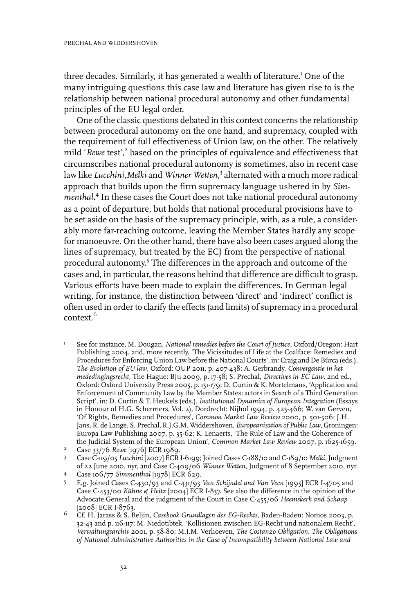three decades. Similarly, it has generated a wealth of literature.<sup>1</sup> One of the many intriguing questions this case law and literature has given rise to is the relationship between national procedural autonomy and other fundamental principles of the EU legal order.

One of the classic questions debated in this context concerns the relationship between procedural autonomy on the one hand, and supremacy, coupled with the requirement of full effectiveness of Union law, on the other. The relatively mild 'Rewe test',<sup>2</sup> based on the principles of equivalence and effectiveness that circumscribes national procedural autonomy is sometimes, also in recent case law like *Lucchini*,*Melki* and *Winner Wetten,*<sup>3</sup> alternated with a much more radical approach that builds upon the firm supremacy language ushered in by *Simmenthal*. 4 In these cases the Court does not take national procedural autonomy as a point of departure, but holds that national procedural provisions have to be set aside on the basis of the supremacy principle, with, as a rule, a considerably more far-reaching outcome, leaving the Member States hardly any scope for manoeuvre. On the other hand, there have also been cases argued along the lines of supremacy, but treated by the ECJ from the perspective of national procedural autonomy. 5 The differences in the approach and outcome of the cases and, in particular, the reasons behind that difference are difficult to grasp. Various efforts have been made to explain the differences. In German legal writing, for instance, the distinction between 'direct' and 'indirect' conflict is often used in order to clarify the effects (and limits) of supremacy in a procedural context.<sup>6</sup>

See for instance, M. Dougan, *National remedies before the Court of Justice*, Oxford/Oregon: Hart Publishing 2004, and, more recently, 'The Vicissitudes of Life at the Coalface: Remedies and 1 Procedures for Enforcing Union Law before the National Courts', in: Craig and De Búrca (eds.), *The Evolution of EU law*, Oxford: OUP 2011, p. 407-438; A. Gerbrandy, *Convergentie in het mededingingsrecht*, The Hague: BJu 2009, p. 17-58; S. Prechal, *Directives in EC Law*, 2nd ed., Oxford: Oxford University Press 2005, p. 131-179; D. Curtin & K. Mortelmans, 'Application and Enforcement of Community Law by the Member States: actors in Search of a Third Generation Script', in: D. Curtin & T. Heukels (eds.), *Institutional Dynamics of European Integration* (Essays in Honour of H.G. Schermers, Vol. 2), Dordrecht: Nijhof 1994, p. 423-466; W. van Gerven, 'Of Rights, Remedies and Procedures', *Common Market Law Review* 2000, p. 501-506; J.H. Jans, R. de Lange, S. Prechal, R.J.G.M. Widdershoven, *Europeanisation of Public Law*, Groningen: Europa Law Publishing 2007, p. 35-62; K. Lenaerts, 'The Rule of Law and the Coherence of the Judicial System of the European Union', *Common Market Law Review* 2007, p. 1625-1659.

Case 33/76 *Rewe* [1976] ECR 1989. <sup>2</sup>

Case C-119/05 *Lucchini* [2007] ECR I-6199; Joined Cases C-188/10 and C-189/10 *Melki*, Judgment of 22 June 2010, nyr, and Case C-409/06 *Winner Wetten*, Judgment of 8 September 2010, nyr. 3

Case 106/77 *Simmenthal* [1978] ECR 629. <sup>4</sup>

E.g. Joined Cases C-430/93 and C-431/93 *Van Schijndel and Van Veen* [1995] ECR I-4705 and Case C-453/00 *Kühne & Heitz* [2004] ECR I-837. See also the difference in the opinion of the 5 Advocate General and the judgment of the Court in Case C-455/06 *Heemskerk and Schaap* [2008] ECR I-8763.

Cf. H. Jarass & S. Beljin, *Casebook Grundlagen des EG-Rechts*, Baden-Baden: Nomos 2003, p. 32-43 and p. 116-117; M. Niedotibtek, 'Kollisionen zwischen EG-Recht und nationalem Recht', 6 *Verwaltungsarchiv* 2001, p. 58-80; M.J.M. Verhoeven, *The Costanzo Obligation. The Obligations of National Administrative Authorities in the Case of Incompatibility between National Law and*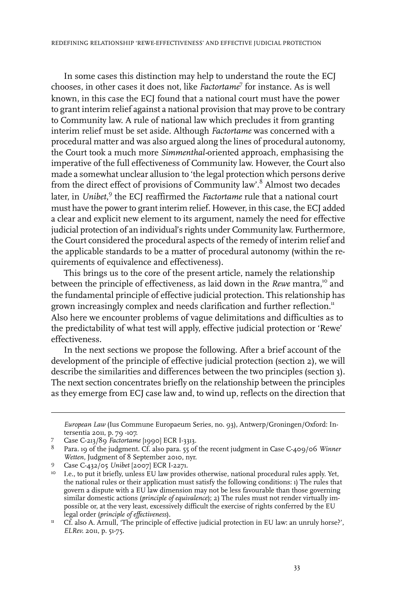In some cases this distinction may help to understand the route the ECJ chooses, in other cases it does not, like *Factortame*<sup>7</sup> for instance. As is well known, in this case the ECJ found that a national court must have the power to grant interim relief against a national provision that may prove to be contrary to Community law. A rule of national law which precludes it from granting interim relief must be set aside. Although *Factortame* was concerned with a procedural matter and was also argued along the lines of procedural autonomy, the Court took a much more *Simmenthal-*oriented approach, emphasising the imperative of the full effectiveness of Community law. However, the Court also made a somewhat unclear allusion to 'the legal protection which persons derive from the direct effect of provisions of Community law'.<sup>8</sup> Almost two decades later, in *Unibet*, 9 the ECJ reaffirmed the *Factortame* rule that a national court must have the power to grant interim relief. However, in this case, the ECJ added a clear and explicit new element to its argument, namely the need for effective judicial protection of an individual's rights under Community law. Furthermore, the Court considered the procedural aspects of the remedy of interim relief and the applicable standards to be a matter of procedural autonomy (within the requirements of equivalence and effectiveness).

This brings us to the core of the present article, namely the relationship between the principle of effectiveness, as laid down in the *Rewe* mantra,<sup>10</sup> and the fundamental principle of effective judicial protection. This relationship has grown increasingly complex and needs clarification and further reflection.<sup>11</sup> Also here we encounter problems of vague delimitations and difficulties as to the predictability of what test will apply, effective judicial protection or 'Rewe' effectiveness.

In the next sections we propose the following. After a brief account of the development of the principle of effective judicial protection (section 2), we will describe the similarities and differences between the two principles (section 3). The next section concentrates briefly on the relationship between the principles as they emerge from ECJ case law and, to wind up, reflects on the direction that

*European Law* (Ius Commune Europaeum Series, no. 93), Antwerp/Groningen/Oxford: Intersentia 2011, p. 79 -107.

Case C-213/89 *Factortame* [1990] ECR I-3313. <sup>7</sup>

Para. 19 of the judgment. Cf. also para. 55 of the recent judgment in Case C-409/06 *Winner* 8 *Wetten,* Judgment of 8 September 2010, nyr.

Case C-432/05 *Unibet* [2007] ECR I-2271. <sup>9</sup>

<sup>&</sup>lt;sup>10</sup> I.e., to put it briefly, unless EU law provides otherwise, national procedural rules apply. Yet, the national rules or their application must satisfy the following conditions: 1) The rules that govern a dispute with a EU law dimension may not be less favourable than those governing similar domestic actions (*principle of equivalence*); 2) The rules must not render virtually impossible or, at the very least, excessively difficult the exercise of rights conferred by the EU legal order (*principle of effectiveness*).

Cf. also A. Arnull, 'The principle of effective judicial protection in EU law: an unruly horse?', *ELRev.* 2011, p. 51-75. 11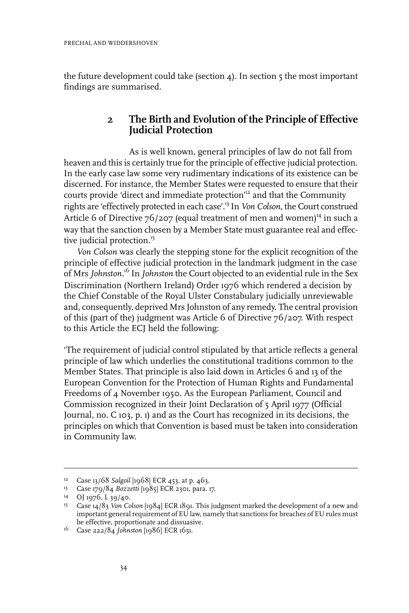the future development could take (section  $\alpha$ ). In section  $\zeta$  the most important findings are summarised.

### **2 The Birth and Evolution of the Principle of Effective Judicial Protection**

As is well known, general principles of law do not fall from heaven and this is certainly true for the principle of effective judicial protection. In the early case law some very rudimentary indications of its existence can be discerned. For instance, the Member States were requested to ensure that their courts provide 'direct and immediate protection"<sup>2</sup> and that the Community rights are 'effectively protected in each case'.<sup>13</sup> In *Von Colson*, the Court construed Article 6 of Directive  $76/207$  (equal treatment of men and women)<sup>14</sup> in such a way that the sanction chosen by a Member State must guarantee real and effective judicial protection.<sup>15</sup>

*Von Colson* was clearly the stepping stone for the explicit recognition of the principle of effective judicial protection in the landmark judgment in the case of Mrs *Johnston.*<sup>16</sup> In *Johnston* the Court objected to an evidential rule in the Sex Discrimination (Northern Ireland) Order 1976 which rendered a decision by the Chief Constable of the Royal Ulster Constabulary judicially unreviewable and, consequently, deprived Mrs Johnston of any remedy. The central provision of this (part of the) judgment was Article 6 of Directive 76/207. With respect to this Article the ECJ held the following:

'The requirement of judicial control stipulated by that article reflects a general principle of law which underlies the constitutional traditions common to the Member States. That principle is also laid down in Articles 6 and 13 of the European Convention for the Protection of Human Rights and Fundamental Freedoms of 4 November 1950. As the European Parliament, Council and Commission recognized in their Joint Declaration of 5 April 1977 (Official Journal, no. C 103, p. 1) and as the Court has recognized in its decisions, the principles on which that Convention is based must be taken into consideration in Community law.

<sup>&</sup>lt;sup>12</sup> Case 13/68 *Salgoil* [1968] ECR 453, at p. 463.

Case 179/84 *Bozzetti* [1985] ECR 2301, para. 17. 13

 $14$  OJ 1976, L 39/40.

<sup>&</sup>lt;sup>15</sup> Case 14/83 *Von Colson* [1984] ECR 1891. This judgment marked the development of a new and important general requirement of EU law, namely that sanctions for breaches of EU rules must be effective, proportionate and dissuasive.

<sup>&</sup>lt;sup>16</sup> Case 222/84 *Johnston* [1986] ECR 1651.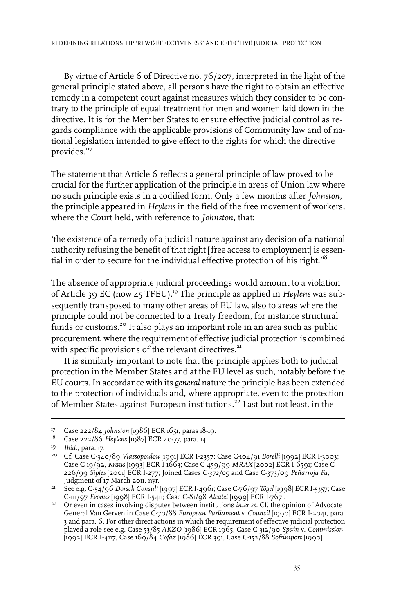By virtue of Article 6 of Directive no. 76/207, interpreted in the light of the general principle stated above, all persons have the right to obtain an effective remedy in a competent court against measures which they consider to be contrary to the principle of equal treatment for men and women laid down in the directive. It is for the Member States to ensure effective judicial control as regards compliance with the applicable provisions of Community law and of national legislation intended to give effect to the rights for which the directive provides.'<sup>17</sup>

The statement that Article 6 reflects a general principle of law proved to be crucial for the further application of the principle in areas of Union law where no such principle exists in a codified form. Only a few months after *Johnston*, the principle appeared in *Heylens* in the field of the free movement of workers, where the Court held, with reference to *Johnston*, that:

'the existence of a remedy of a judicial nature against any decision of a national authority refusing the benefit of that right [free access to employment] is essential in order to secure for the individual effective protection of his right.<sup>18</sup>

The absence of appropriate judicial proceedings would amount to a violation of Article 39 EC (now 45 TFEU).<sup>19</sup> The principle as applied in *Heylens* was subsequently transposed to many other areas of EU law, also to areas where the principle could not be connected to a Treaty freedom, for instance structural funds or customs.<sup>20</sup> It also plays an important role in an area such as public procurement, where the requirement of effective judicial protection is combined with specific provisions of the relevant directives.<sup>21</sup>

It is similarly important to note that the principle applies both to judicial protection in the Member States and at the EU level as such, notably before the EU courts. In accordance with its *general* nature the principle has been extended to the protection of individuals and, where appropriate, even to the protection of Member States against European institutions.<sup>22</sup> Last but not least, in the

Case 222/84 *Johnston* [1986] ECR 1651, paras 18-19. <sup>17</sup>

<sup>&</sup>lt;sup>18</sup> Case 222/86 *Heylens* [1987] ECR 4097, para. 14.

<sup>&</sup>lt;sup>19</sup> Ibid., para. 17.

Cf. Case C-340/89 *Vlassopoulou* [1991] ECR I-2357; Case C-104/91 *Borelli* [1992] ECR I-3003; 20 Case C-19/92, *Kraus* [1993] ECR I-1663; Case C-459/99 *MRAX* [2002] ECR I-6591; Case C-226/99 *Siples* [2001] ECR I-277; Joined Cases *C-372/09* and Case C-373/09 *Peñarroja Fa*, Judgment of 17 March 2011, nyr.

See e.g. C-54/96 *Dorsch Consult* [1997] ECR I-4961; Case C-76/97 *Tögel* [1998] ECR I-5357; Case 21 C-111/97 *Evobus* [1998] ECR I-5411; Case C-81/98 *Alcatel* [1999] ECR I-7671.

Or even in cases involving disputes between institutions *inter se*. Cf. the opinion of Advocate 22 General Van Gerven in Case C-70/88 *European Parliament* v. *Council* [1990] ECR I-2041, para. 3 and para. 6. For other direct actions in which the requirement of effective judicial protection played a role see e.g. Case 53/85 *AKZO* [1986] ECR 1965, Case C-312/90 *Spain* v*. Commission* [1992] ECR I-4117, Case 169/84 *Cofaz* [1986] ECR 391, Case C-152/88 *Sofrimport* [1990]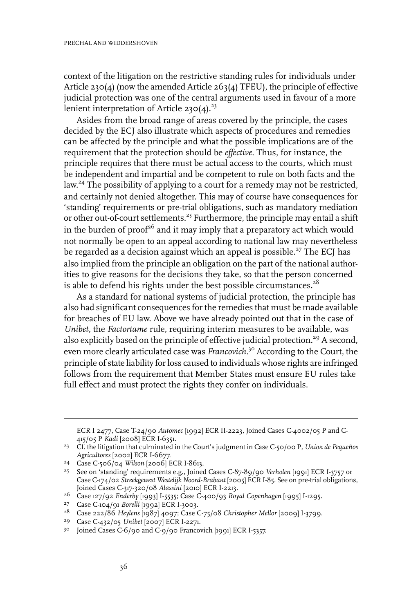context of the litigation on the restrictive standing rules for individuals under Article 230(4) (now the amended Article 263(4) TFEU), the principle of effective judicial protection was one of the central arguments used in favour of a more lenient interpretation of Article  $230(4).^{23}$ 

Asides from the broad range of areas covered by the principle, the cases decided by the ECJ also illustrate which aspects of procedures and remedies can be affected by the principle and what the possible implications are of the requirement that the protection should be *effective*. Thus, for instance, the principle requires that there must be actual access to the courts, which must be independent and impartial and be competent to rule on both facts and the law.<sup>24</sup> The possibility of applying to a court for a remedy may not be restricted, and certainly not denied altogether. This may of course have consequences for 'standing' requirements or pre-trial obligations, such as mandatory mediation or other out-of-court settlements.<sup>25</sup> Furthermore, the principle may entail a shift in the burden of  $\text{proof}^{26}$  and it may imply that a preparatory act which would not normally be open to an appeal according to national law may nevertheless be regarded as a decision against which an appeal is possible.<sup>27</sup> The ECJ has also implied from the principle an obligation on the part of the national authorities to give reasons for the decisions they take, so that the person concerned is able to defend his rights under the best possible circumstances. $28$ 

As a standard for national systems of judicial protection, the principle has also had significant consequences forthe remedies that must be made available for breaches of EU law. Above we have already pointed out that in the case of *Unibet*, the *Factortame* rule, requiring interim measures to be available, was also explicitly based on the principle of effective judicial protection.<sup>29</sup> A second, even more clearly articulated case was *Francovich.*<sup>30</sup> According to the Court, the principle of state liability forloss caused to individuals whose rights are infringed follows from the requirement that Member States must ensure EU rules take full effect and must protect the rights they confer on individuals.

ECR I 2477, Case T-24/90 *Automec* [1992] ECR II-2223, Joined Cases C-4002/05 P and C-415/05 P *Kadi* [2008] ECR I-6351.

Cf. the litigation that culminated in the Court's judgment in Case C-50/00 P, *Union de Pequeños* 23 *Agricultores* [2002] ECR I-6677.

<sup>&</sup>lt;sup>24</sup> Case C-506/04 *Wilson* [2006] ECR I-8613.

<sup>&</sup>lt;sup>25</sup> See on 'standing' requirements e.g., Joined Cases C-87-89/90 *Verholen* [1991] ECR I-3757 or Case C-174/02 *Streekgewest Westelijk Noord-Brabant* [2005] ECR I-85. See on pre-trial obligations, Joined Cases C-317-320/08 *Alassini* [2010] ECR I-2213.

Case 127/92 *Enderby* [1993]I-5535; Case C-400/93 *Royal Copenhagen* [1995]I-1295. <sup>26</sup>

Case C-104/91 *Borelli* [1992] ECR I-3003. <sup>27</sup>

Case 222/86 *Heylens* [1987] 4097; Case C-75/08 *Christopher Mellor* [2009]I-3799. <sup>28</sup>

<sup>&</sup>lt;sup>29</sup> Case C-432/05 *Unibet* [2007] ECR I-2271.

<sup>&</sup>lt;sup>30</sup> Joined Cases C-6/90 and C-9/90 Francovich [1991] ECR I-5357.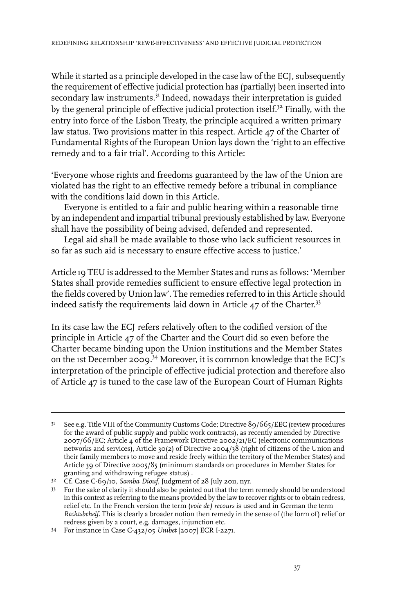While it started as a principle developed in the case law of the ECJ, subsequently the requirement of effective judicial protection has (partially) been inserted into secondary law instruments.<sup>31</sup> Indeed, nowadays their interpretation is guided by the general principle of effective judicial protection itself.<sup>32</sup> Finally, with the entry into force of the Lisbon Treaty, the principle acquired a written primary law status. Two provisions matter in this respect. Article  $47$  of the Charter of Fundamental Rights of the European Union lays down the 'right to an effective remedy and to a fair trial'. According to this Article:

'Everyone whose rights and freedoms guaranteed by the law of the Union are violated has the right to an effective remedy before a tribunal in compliance with the conditions laid down in this Article.

Everyone is entitled to a fair and public hearing within a reasonable time by an independent and impartial tribunal previously established by law. Everyone shall have the possibility of being advised, defended and represented.

Legal aid shall be made available to those who lack sufficient resources in so far as such aid is necessary to ensure effective access to justice.'

Article 19 TEU is addressed to the Member States and runs as follows: 'Member States shall provide remedies sufficient to ensure effective legal protection in the fields covered by Union law'. The remedies referred to in this Article should indeed satisfy the requirements laid down in Article 47 of the Charter.<sup>33</sup>

In its case law the ECJ refers relatively often to the codified version of the principle in Article 47 of the Charter and the Court did so even before the Charter became binding upon the Union institutions and the Member States on the 1st December 2009.<sup>34</sup> Moreover, it is common knowledge that the ECJ's interpretation of the principle of effective judicial protection and therefore also of Article 47 is tuned to the case law of the European Court of Human Rights

See e.g. Title VIII of the Community Customs Code; Directive 89/665/EEC (review procedures for the award of public supply and public work contracts), as recently amended by Directive 31 2007/66/EC; Article 4 of the Framework Directive 2002/21/EC (electronic communications networks and services), Article 30(2) of Directive 2004/38 (right of citizens of the Union and their family members to move and reside freely within the territory of the Member States) and Article 39 of Directive 2005/85 (minimum standards on procedures in Member States for granting and withdrawing refugee status) .

Cf. Case C-69/10, *Samba Diouf*, Judgment of 28 July 2011, nyr. 32

<sup>33</sup> For the sake of clarity it should also be pointed out that the term remedy should be understood in this context as referring to the means provided by the law to recoverrights orto obtain redress, relief etc.In the French version the term (*voie de) recours* is used and in German the term *Rechtsbehelf*. This is clearly a broader notion then remedy in the sense of (the form of) relief or redress given by a court, e.g. damages, injunction etc.

For instance in Case C-432/05 *Unibet* [2007] ECR I-2271. <sup>34</sup>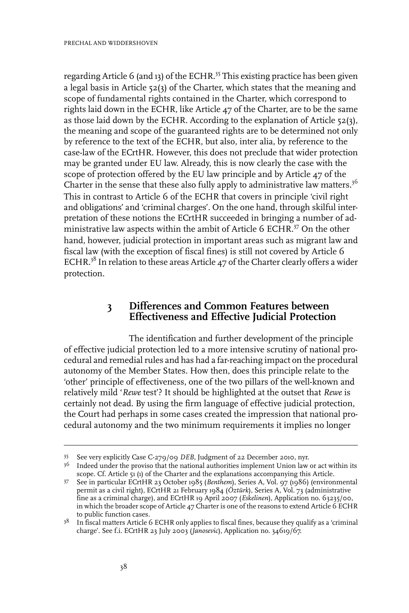regarding Article 6 (and 13) of the ECHR.<sup>35</sup> This existing practice has been given a legal basis in Article 52(3) of the Charter, which states that the meaning and scope of fundamental rights contained in the Charter, which correspond to rights laid down in the ECHR, like Article 47 of the Charter, are to be the same as those laid down by the ECHR. According to the explanation of Article 52(3), the meaning and scope of the guaranteed rights are to be determined not only by reference to the text of the ECHR, but also, inter alia, by reference to the case-law of the ECrtHR. However, this does not preclude that wider protection may be granted under EU law. Already, this is now clearly the case with the scope of protection offered by the EU law principle and by Article 47 of the Charter in the sense that these also fully apply to administrative law matters.<sup>36</sup> This in contrast to Article 6 of the ECHR that covers in principle 'civil right and obligations' and 'criminal charges'. On the one hand, through skilful interpretation of these notions the ECrtHR succeeded in bringing a number of administrative law aspects within the ambit of Article 6 ECHR.<sup>37</sup> On the other hand, however, judicial protection in important areas such as migrant law and fiscal law (with the exception of fiscal fines) is still not covered by Article 6 ECHR.<sup>38</sup> In relation to these areas Article 47 of the Charter clearly offers a wider protection.

#### **3 Differences and Common Features between Effectiveness and Effective Judicial Protection**

The identification and further development of the principle of effective judicial protection led to a more intensive scrutiny of national procedural and remedial rules and has had a far-reaching impact on the procedural autonomy of the Member States. How then, does this principle relate to the 'other' principle of effectiveness, one of the two pillars of the well-known and relatively mild '*Rewe* test'? It should be highlighted at the outset that *Rewe* is certainly not dead. By using the firm language of effective judicial protection, the Court had perhaps in some cases created the impression that national procedural autonomy and the two minimum requirements it implies no longer

<sup>35</sup> See very explicitly Case C-279/09 DEB, Judgment of 22 December 2010, nyr.

 $3<sup>6</sup>$  Indeed under the proviso that the national authorities implement Union law or act within its scope. Cf. Article 51 (1) of the Charter and the explanations accompanying this Article.

See in particular ECrtHR 23 October 1985 (*Benthem*), Series A, Vol. 97 (1986) (environmental 37 permit as a civil right), ECrtHR 21 February 1984 (*Öztürk*), Series A, Vol. 73 (administrative fine as a criminal charge), and ECrtHR 19 April 2007 (*Eskelinen*), Application no. 63235/00, in which the broader scope of Article 47 Charter is one of the reasons to extend Article 6 ECHR to public function cases.

 $3^8$  In fiscal matters Article 6 ECHR only applies to fiscal fines, because they qualify as a 'criminal charge'. See f.i. ECrtHR 23 July 2003 (*Janosevic*), Application no. 34619/67.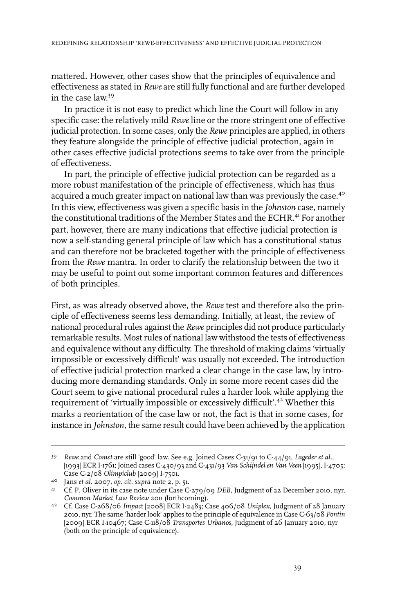mattered. However, other cases show that the principles of equivalence and effectiveness as stated in *Rewe* are still fully functional and are further developed in the case law. 39

In practice it is not easy to predict which line the Court will follow in any specific case: the relatively mild *Rewe* line or the more stringent one of effective judicial protection. In some cases, only the *Rewe* principles are applied, in others they feature alongside the principle of effective judicial protection, again in other cases effective judicial protections seems to take over from the principle of effectiveness.

In part, the principle of effective judicial protection can be regarded as a more robust manifestation of the principle of effectiveness, which has thus acquired a much greater impact on national law than was previously the case.<sup>40</sup> In this view, effectiveness was given a specific basis in the *Johnston* case, namely the constitutional traditions of the Member States and the ECHR.<sup>41</sup> For another part, however, there are many indications that effective judicial protection is now a self-standing general principle of law which has a constitutional status and can therefore not be bracketed together with the principle of effectiveness from the *Rewe* mantra. In order to clarify the relationship between the two it may be useful to point out some important common features and differences of both principles.

First, as was already observed above, the *Rewe* test and therefore also the principle of effectiveness seems less demanding. Initially, at least, the review of national procedural rules against the *Rewe* principles did not produce particularly remarkable results. Mostrules of national law withstood the tests of effectiveness and equivalence without any difficulty. The threshold of making claims 'virtually impossible or excessively difficult' was usually not exceeded. The introduction of effective judicial protection marked a clear change in the case law, by introducing more demanding standards. Only in some more recent cases did the Court seem to give national procedural rules a harder look while applying the requirement of 'virtually impossible or excessively difficult'.<sup>42</sup> Whether this marks a reorientation of the case law or not, the fact is that in some cases, for instance in *Johnston*, the same result could have been achieved by the application

*Rewe* and *Comet* are still 'good' law. See e.g. Joined Cases C-31/91 to C-44/91, *Lageder et al.*, 39 [1993] ECR I-1761; Joined cases C-430/93 and C-431/93 *Van Schijndelen Van Veen* [1995],I-4705; Case C-2/08 *Olimpiclub* [2009]I-7501.

Jans *et al.* 2007, *op. cit. supra* note 2, p. 51. <sup>40</sup>

Cf. P. Oliver in its case note under Case C-279/09 *DEB*, Judgment of 22 December 2010, nyr, 41 *Common Market Law Review* 2011 (forthcoming).

Cf. Case C-268/06 *Impac*t [2008] ECR I-2483; Case 406/08 *Uniplex*, Judgment of 28 January 42 2010, nyr. The same 'harder look' applies to the principle of equivalence in Case C-63/08 *Pontin* [2009] ECR I-10467; Case C-118/08 *Transportes Urbanos*, Judgment of 26 January 2010, nyr (both on the principle of equivalence).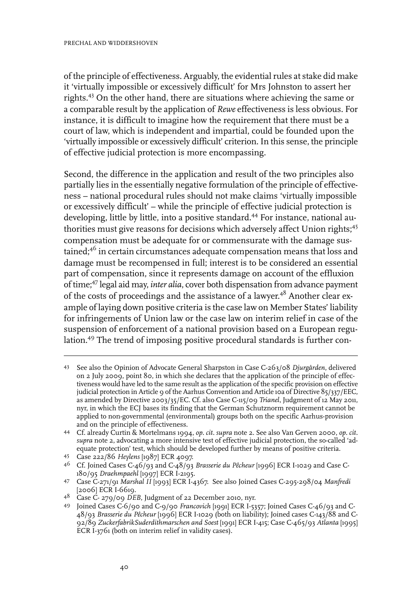of the principle of effectiveness. Arguably, the evidential rules at stake did make it 'virtually impossible or excessively difficult' for Mrs Johnston to assert her rights.<sup>43</sup> On the other hand, there are situations where achieving the same or a comparable result by the application of *Rewe* effectiveness is less obvious. For instance, it is difficult to imagine how the requirement that there must be a court of law, which is independent and impartial, could be founded upon the 'virtually impossible or excessively difficult' criterion. In this sense, the principle of effective judicial protection is more encompassing.

Second, the difference in the application and result of the two principles also partially lies in the essentially negative formulation of the principle of effectiveness – national procedural rules should not make claims 'virtually impossible or excessively difficult' – while the principle of effective judicial protection is developing, little by little, into a positive standard.<sup>44</sup> For instance, national authorities must give reasons for decisions which adversely affect Union rights;<sup>45</sup> compensation must be adequate for or commensurate with the damage sustained;<sup>46</sup> in certain circumstances adequate compensation means that loss and damage must be recompensed in full; interest is to be considered an essential part of compensation, since it represents damage on account of the effluxion of time;<sup>47</sup> legal aid may, *inter alia*, cover both dispensation from advance payment of the costs of proceedings and the assistance of a lawyer.<sup>48</sup> Another clear example of laying down positive criteria is the case law on Member States' liability for infringements of Union law or the case law on interim relief in case of the suspension of enforcement of a national provision based on a European regulation.<sup>49</sup> The trend of imposing positive procedural standards is further con-

<sup>&</sup>lt;sup>43</sup> See also the Opinion of Advocate General Sharpston in Case C-263/08 Djurgården, delivered on 2 July 2009, point 80, in which she declares that the application of the principle of effectiveness would have led to the same result as the application of the specific provision on effective judicial protection in Article 9 of the Aarhus Convention and Article 10a of Directive 85/337/EEC, as amended by Directive 2003/35/EC. Cf. also Case C-115/09 *Trianel*, Judgment of 12 May 2011, nyr, in which the ECJ bases its finding that the German Schutznorm requirement cannot be applied to non-governmental (environmental) groups both on the specific Aarhus-provision and on the principle of effectiveness.

Cf. already Curtin & Mortelmans 1994, *op. cit. supra* note 2. See also Van Gerven 2000, *op. cit.* 44 *supra* note 2, advocating a more intensive test of effective judicial protection, the so-called 'adequate protection' test, which should be developed further by means of positive criteria.

Case 222/86 *Heylens* [1987] ECR 4097. 45

Cf. Joined Cases C-46/93 and C-48/93 *Brasserie du Pêcheur* [1996] ECR I-1029 and Case C-46 180/95 *Draehmpaehl* [1997] ECR I-2195.

Case C-271/91 *Marshal II* [1993] ECR I-4367. See also Joined Cases C-295-298/04 *Manfredi* 47 [2006] ECR I-6619.

Case C- 279/09 *DEB*, Judgment of 22 December 2010, nyr. 48

Joined Cases C-6/90 and C-9/90 *Francovich* [1991] ECR I-5357; Joined Cases C-46/93 and C-49 48/93 *Brasserie du Pêcheur* [1996] ECR I-1029 (both on liability); Joined cases C-143/88 and C-92/89 *ZuckerfabrikSuderdithmarschen and Soest* [1991] ECR I-415; Case C-465/93 *Atlanta* [1995] ECR I-3761 (both on interim relief in validity cases).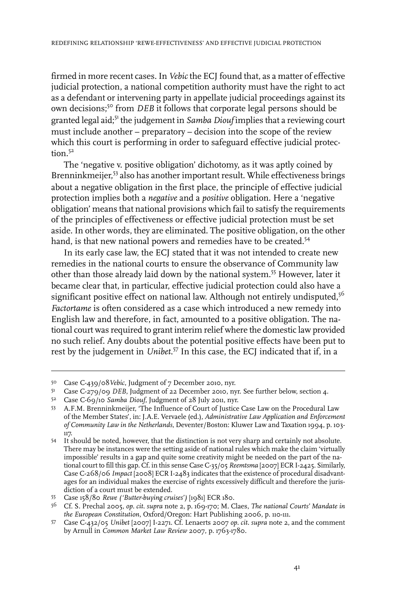firmed in more recent cases. In *Vebic*the ECJ found that, as a matter of effective judicial protection, a national competition authority must have the right to act as a defendant or intervening party in appellate judicial proceedings against its own decisions;<sup>50</sup> from *DEB* it follows that corporate legal persons should be granted legal aid;<sup>51</sup> the judgement in *Samba Diouf* implies that a reviewing court must include another – preparatory – decision into the scope of the review which this court is performing in order to safeguard effective judicial protection $5<sup>2</sup>$ 

The 'negative v. positive obligation' dichotomy, as it was aptly coined by Brenninkmeijer, <sup>53</sup> also has another important result. While effectiveness brings about a negative obligation in the first place, the principle of effective judicial protection implies both a *negative* and a *positive* obligation. Here a 'negative obligation' means that national provisions which fail to satisfy the requirements of the principles of effectiveness or effective judicial protection must be set aside. In other words, they are eliminated. The positive obligation, on the other hand, is that new national powers and remedies have to be created.<sup>54</sup>

In its early case law, the ECJ stated that it was not intended to create new remedies in the national courts to ensure the observance of Community law other than those already laid down by the national system.<sup>55</sup> However, later it became clear that, in particular, effective judicial protection could also have a significant positive effect on national law. Although not entirely undisputed,<sup>56</sup> *Factortame* is often considered as a case which introduced a new remedy into English law and therefore, in fact, amounted to a positive obligation. The national court was required to grant interim relief where the domestic law provided no such relief. Any doubts about the potential positive effects have been put to rest by the judgement in *Unibet*. <sup>57</sup> In this case, the ECJ indicated that if, in a

Case C-439/08*Vebic*, Judgment of 7 December 2010, nyr. 50

<sup>&</sup>lt;sup>51</sup> Case C-279/09 *DEB*, Judgment of 22 December 2010, nyr. See further below, section 4.

Case C-69/10 *Samba Diouf*, Judgment of 28 July 2011, nyr. 52

A.F.M. Brenninkmeijer, 'The Influence of Court of Justice Case Law on the Procedural Law 53 of the Member States', in: J.A.E. Vervaele (ed.), *Administrative Law Application and Enforcement of Community Law in the Netherlands*, Deventer/Boston: Kluwer Law and Taxation 1994, p. 103- 117.

<sup>54</sup> It should be noted, however, that the distinction is not very sharp and certainly not absolute. There may be instances were the setting aside of national rules which make the claim 'virtually impossible' results in a gap and quite some creativity might be needed on the part of the national court to fill this gap. Cf. in this sense Case C-35/05 *Reemtsma* [2007] ECR I-2425. Similarly, Case C-268/06 *Impact* [2008] ECR I-2483 indicates that the existence of procedural disadvantages for an individual makes the exercise of rights excessively difficult and therefore the jurisdiction of a court must be extended.

Case 158/80 *Rewe ('Butter-buying cruises')* [1981] ECR 180. <sup>55</sup>

Cf. S. Prechal 2005, *op. cit. supra* note 2, p. 169-170; M. Claes, *The national Courts' Mandate in* 56 *the European Constitution*, Oxford/Oregon: Hart Publishing 2006, p. 110-111.

Case C-432/05 *Unibet* [2007]I-2271. Cf. Lenaerts 2007 *op. cit. supra* note 2, and the comment 57 by Arnull in *Common Market Law Review* 2007, p. 1763-1780.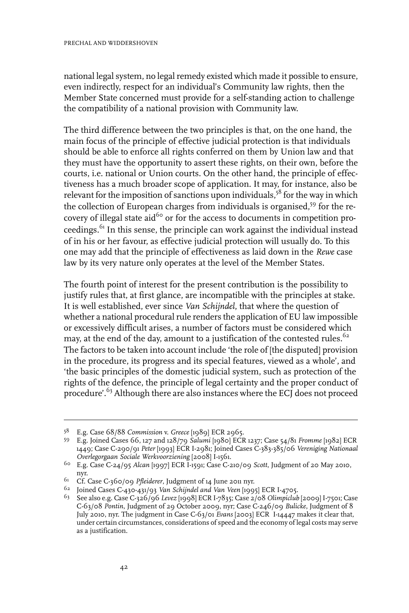national legal system, no legal remedy existed which made it possible to ensure, even indirectly, respect for an individual's Community law rights, then the Member State concerned must provide for a self-standing action to challenge the compatibility of a national provision with Community law.

The third difference between the two principles is that, on the one hand, the main focus of the principle of effective judicial protection is that individuals should be able to enforce all rights conferred on them by Union law and that they must have the opportunity to assert these rights, on their own, before the courts, i.e. national or Union courts. On the other hand, the principle of effectiveness has a much broader scope of application. It may, for instance, also be relevant for the imposition of sanctions upon individuals,<sup>58</sup> for the way in which the collection of European charges from individuals is organised,<sup>59</sup> for the recovery of illegal state  $\frac{1}{4}$  and  $\frac{1}{2}$  or for the access to documents in competition proceedings.<sup>61</sup> In this sense, the principle can work against the individual instead of in his or her favour, as effective judicial protection will usually do. To this one may add that the principle of effectiveness as laid down in the *Rewe* case law by its very nature only operates at the level of the Member States.

The fourth point of interest for the present contribution is the possibility to justify rules that, at first glance, are incompatible with the principles at stake. It is well established, ever since *Van Schijndel*, that where the question of whether a national procedural rule renders the application of EU law impossible or excessively difficult arises, a number of factors must be considered which may, at the end of the day, amount to a justification of the contested rules.<sup>62</sup> The factors to be taken into account include 'the role of [the disputed] provision in the procedure, its progress and its special features, viewed as a whole', and 'the basic principles of the domestic judicial system, such as protection of the rights of the defence, the principle of legal certainty and the proper conduct of procedure'.<sup>63</sup> Although there are also instances where the ECJ does not proceed

<sup>58</sup> E.g. Case 68/88 *Commission* v. *Greece* [1989] ECR 2965.

E.g. Joined Cases 66, 127 and 128/79 *Salumi* [1980] ECR 1237; Case 54/81 *Fromme* [1982] ECR 59 1449; Case C-290/91 *Peter* [1993] ECR I-2981; Joined Cases C-383-385/06 *Vereniging Nationaal Overlegorgaan Sociale Werkvoorziening* [2008]I-1561.

E.g. Case C-24/95 *Alcan* [1997] ECR I-1591; Case C-210/09 *Scott*, Judgment of 20 May 2010, 60 nyr.

<sup>&</sup>lt;sup>61</sup> Cf. Case C-360/09 Pfleiderer, Judgment of 14 June 2011 nyr.

Joined Cases C-430-431/93 *Van Schijndel and Van Veen* [1995] ECR I-4705. <sup>62</sup>

See also e.g. Case C-326/96 *Levez* [1998] ECR I-7835; Case 2/08 *Olimpiclub* [2009]I-7501; Case 63 C-63/08 *Pontin*, Judgment of 29 October 2009, nyr; Case C-246/09 *Bulicke*, Judgment of 8 July 2010, nyr. The judgment in Case C-63/01 *Evans* [2003] ECR I-14447 makes it clear that, under certain circumstances, considerations of speed and the economy of legal costs may serve as a justification.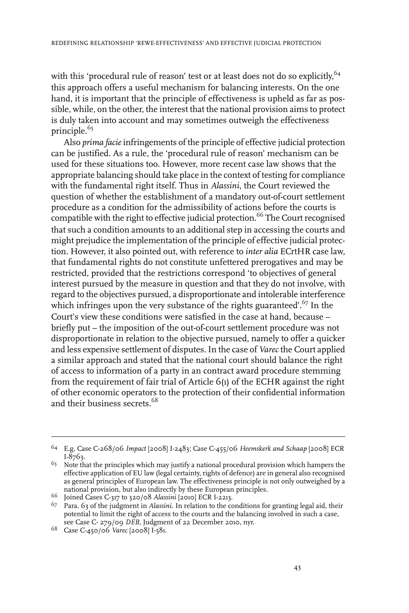with this 'procedural rule of reason' test or at least does not do so explicitly, 64 this approach offers a useful mechanism for balancing interests. On the one hand, it is important that the principle of effectiveness is upheld as far as possible, while, on the other, the interest that the national provision aims to protect is duly taken into account and may sometimes outweigh the effectiveness principle.<sup>65</sup>

Also *prima facie*infringements of the principle of effective judicial protection can be justified. As a rule, the 'procedural rule of reason' mechanism can be used for these situations too. However, more recent case law shows that the appropriate balancing should take place in the context of testing for compliance with the fundamental right itself. Thus in *Alassini*, the Court reviewed the question of whether the establishment of a mandatory out-of-court settlement procedure as a condition for the admissibility of actions before the courts is compatible with the right to effective judicial protection.<sup>66</sup> The Court recognised that such a condition amounts to an additional step in accessing the courts and might prejudice the implementation of the principle of effective judicial protection. However, it also pointed out, with reference to *inter alia* ECrtHR case law, that fundamental rights do not constitute unfettered prerogatives and may be restricted, provided that the restrictions correspond 'to objectives of general interest pursued by the measure in question and that they do not involve, with regard to the objectives pursued, a disproportionate and intolerable interference which infringes upon the very substance of the rights guaranteed'. $67$  In the Court's view these conditions were satisfied in the case at hand, because – briefly put – the imposition of the out-of-court settlement procedure was not disproportionate in relation to the objective pursued, namely to offer a quicker and less expensive settlement of disputes. In the case of *Varec* the Court applied a similar approach and stated that the national court should balance the right of access to information of a party in an contract award procedure stemming from the requirement of fair trial of Article 6(1) of the ECHR against the right of other economic operators to the protection of their confidential information and their business secrets.<sup>68</sup>

E.g. Case C-268/06 *Impact* [2008]I-2483; Case C-455/06 *Heemskerk and Schaap* [2008] ECR 64  $I - \frac{8}{763}$ .

 $65$  Note that the principles which may justify a national procedural provision which hampers the effective application of EU law (legal certainty, rights of defence) are in general also recognised as general principles of European law. The effectiveness principle is not only outweighed by a national provision, but also indirectly by these European principles.

<sup>&</sup>lt;sup>66</sup> Joined Cases C-317 to 320/08 *Alassini* [2010] ECR I-2213.

<sup>&</sup>lt;sup>67</sup> Para. 63 of the judgment in *Alassini*. In relation to the conditions for granting legal aid, their potential to limit the right of access to the courts and the balancing involved in such a case, see Case C- 279/09 *DEB*, Judgment of 22 December 2010, nyr.

Case C-450/06 *Varec* [2008]I-581. <sup>68</sup>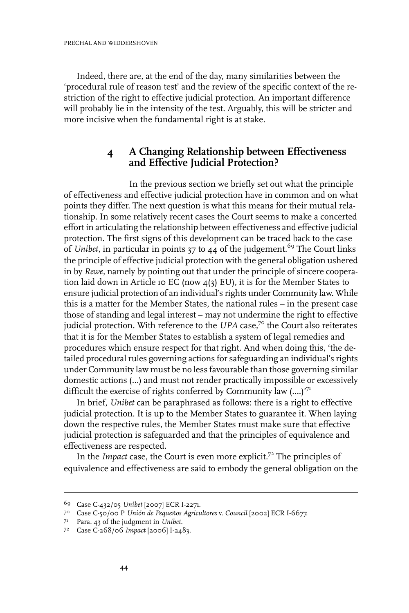Indeed, there are, at the end of the day, many similarities between the 'procedural rule of reason test' and the review of the specific context of the restriction of the right to effective judicial protection. An important difference will probably lie in the intensity of the test. Arguably, this will be stricter and more incisive when the fundamental right is at stake.

#### **4 A Changing Relationship between Effectiveness and Effective Judicial Protection?**

In the previous section we briefly set out what the principle of effectiveness and effective judicial protection have in common and on what points they differ. The next question is what this means for their mutual relationship. In some relatively recent cases the Court seems to make a concerted effort in articulating the relationship between effectiveness and effective judicial protection. The first signs of this development can be traced back to the case of *Unibet*, in particular in points  $37$  to  $44$  of the judgement.<sup>69</sup> The Court links the principle of effective judicial protection with the general obligation ushered in by *Rewe*, namely by pointing out that under the principle of sincere cooperation laid down in Article 10 EC (now 4(3) EU), it is for the Member States to ensure judicial protection of an individual's rights under Community law. While this is a matter for the Member States, the national rules – in the present case those of standing and legal interest – may not undermine the right to effective judicial protection. With reference to the *UPA* case,<sup>70</sup> the Court also reiterates that it is for the Member States to establish a system of legal remedies and procedures which ensure respect for that right. And when doing this, 'the detailed procedural rules governing actions for safeguarding an individual's rights under Community law must be no less favourable than those governing similar domestic actions (…) and must not render practically impossible or excessively difficult the exercise of rights conferred by Community law  $(...)^{71}$ 

In brief, *Unibet* can be paraphrased as follows: there is a right to effective judicial protection. It is up to the Member States to guarantee it. When laying down the respective rules, the Member States must make sure that effective judicial protection is safeguarded and that the principles of equivalence and effectiveness are respected.

In the *Impact* case, the Court is even more explicit.<sup>72</sup> The principles of equivalence and effectiveness are said to embody the general obligation on the

<sup>&</sup>lt;sup>69</sup> Case C-432/05 *Unibet* [2007] ECR I-2271.

Case C-50/00 P *Unión de Pequeños Agricultores* v. *Council* [2002] ECR I-6677. 70

<sup>&</sup>lt;sup>71</sup> Para. 43 of the judgment in *Unibet*.

<sup>7&</sup>lt;sup>2</sup> Case C-268/06 *Impact* [2006] I-2483.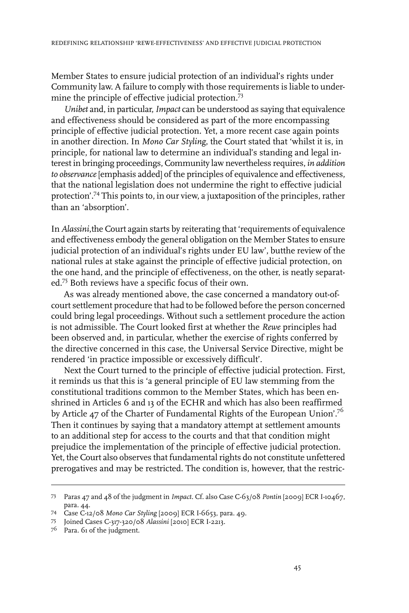Member States to ensure judicial protection of an individual's rights under Community law. A failure to comply with those requirements is liable to undermine the principle of effective judicial protection.<sup>73</sup>

*Unibet* and, in particular,*Impact* can be understood as saying that equivalence and effectiveness should be considered as part of the more encompassing principle of effective judicial protection. Yet, a more recent case again points in another direction. In *Mono Car Styling*, the Court stated that 'whilst it is, in principle, for national law to determine an individual's standing and legal interest in bringing proceedings, Community law nevertheless requires, *in addition to observance*[emphasis added] of the principles of equivalence and effectiveness, that the national legislation does not undermine the right to effective judicial protection'.<sup>74</sup> This points to, in our view, a juxtaposition of the principles, rather than an 'absorption'.

In *Alassini*,the Court again starts by reiterating that 'requirements of equivalence and effectiveness embody the general obligation on the Member States to ensure judicial protection of an individual's rights under EU law', butthe review of the national rules at stake against the principle of effective judicial protection, on the one hand, and the principle of effectiveness, on the other, is neatly separated.<sup>75</sup> Both reviews have a specific focus of their own.

As was already mentioned above, the case concerned a mandatory out-ofcourt settlement procedure that had to be followed before the person concerned could bring legal proceedings. Without such a settlement procedure the action is not admissible. The Court looked first at whether the *Rewe* principles had been observed and, in particular, whether the exercise of rights conferred by the directive concerned in this case, the Universal Service Directive, might be rendered 'in practice impossible or excessively difficult'.

Next the Court turned to the principle of effective judicial protection. First, it reminds us that this is 'a general principle of EU law stemming from the constitutional traditions common to the Member States, which has been enshrined in Articles 6 and 13 of the ECHR and which has also been reaffirmed by Article 47 of the Charter of Fundamental Rights of the European Union'.<sup>76</sup> Then it continues by saying that a mandatory attempt at settlement amounts to an additional step for access to the courts and that that condition might prejudice the implementation of the principle of effective judicial protection. Yet, the Court also observes that fundamental rights do not constitute unfettered prerogatives and may be restricted. The condition is, however, that the restric-

Paras 47 and 48 of the judgment in *Impact*. Cf. also Case C-63/08 *Pontin* [2009] ECR I-10467, 73 para. 44.

Case C-12/08 *Mono Car Styling* [2009] ECR I-6653, para. 49. <sup>74</sup>

Joined Cases C-317-320/08 *Alassini* [2010] ECR I-2213. <sup>75</sup>

<sup>76</sup> Para. 61 of the judgment.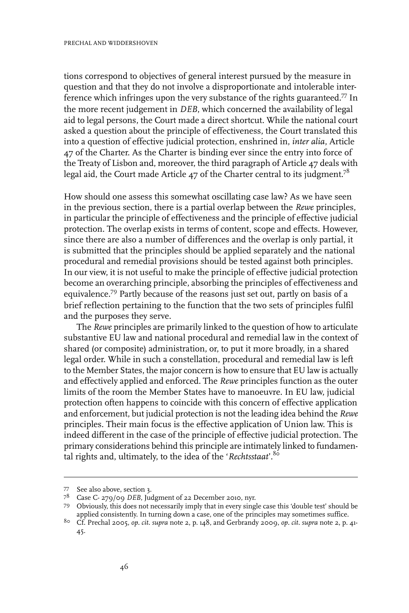tions correspond to objectives of general interest pursued by the measure in question and that they do not involve a disproportionate and intolerable interference which infringes upon the very substance of the rights guaranteed.<sup>77</sup> In the more recent judgement in *DEB*, which concerned the availability of legal aid to legal persons, the Court made a direct shortcut. While the national court asked a question about the principle of effectiveness, the Court translated this into a question of effective judicial protection, enshrined in, *inter alia*, Article 47 of the Charter. As the Charter is binding ever since the entry into force of the Treaty of Lisbon and, moreover, the third paragraph of Article 47 deals with legal aid, the Court made Article  $47$  of the Charter central to its judgment.<sup>78</sup>

How should one assess this somewhat oscillating case law? As we have seen in the previous section, there is a partial overlap between the *Rewe* principles, in particular the principle of effectiveness and the principle of effective judicial protection. The overlap exists in terms of content, scope and effects. However, since there are also a number of differences and the overlap is only partial, it is submitted that the principles should be applied separately and the national procedural and remedial provisions should be tested against both principles. In our view, it is not useful to make the principle of effective judicial protection become an overarching principle, absorbing the principles of effectiveness and equivalence.<sup>79</sup> Partly because of the reasons just set out, partly on basis of a brief reflection pertaining to the function that the two sets of principles fulfil and the purposes they serve.

The *Rewe* principles are primarily linked to the question of how to articulate substantive EU law and national procedural and remedial law in the context of shared (or composite) administration, or, to put it more broadly, in a shared legal order. While in such a constellation, procedural and remedial law is left to the Member States, the major concern is how to ensure that EU law is actually and effectively applied and enforced. The *Rewe* principles function as the outer limits of the room the Member States have to manoeuvre. In EU law, judicial protection often happens to coincide with this concern of effective application and enforcement, but judicial protection is not the leading idea behind the *Rewe* principles. Their main focus is the effective application of Union law. This is indeed different in the case of the principle of effective judicial protection. The primary considerations behind this principle are intimately linked to fundamental rights and, ultimately, to the idea of the '*Rechtsstaat*'.<sup>80</sup>

<sup>77</sup> See also above, section 3.

Case C- 279/09 *DEB*, Judgment of 22 December 2010, nyr. 78

Obviously, this does not necessarily imply that in every single case this 'double test' should be 79 applied consistently. In turning down a case, one of the principles may sometimes suffice.

Cf. Prechal 2005, *op. cit. supra* note 2, p. 148, and Gerbrandy 2009, *op. cit. supra* note 2, p. 41- 80 45.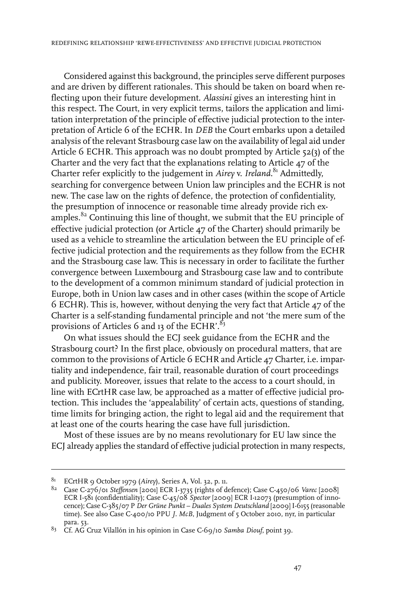Considered against this background, the principles serve different purposes and are driven by different rationales. This should be taken on board when reflecting upon their future development. *Alassini* gives an interesting hint in this respect. The Court, in very explicit terms, tailors the application and limitation interpretation of the principle of effective judicial protection to the interpretation of Article 6 of the ECHR. In *DEB* the Court embarks upon a detailed analysis of the relevant Strasbourg case law on the availability of legal aid under Article 6 ECHR. This approach was no doubt prompted by Article 52(3) of the Charter and the very fact that the explanations relating to Article 47 of the Charter refer explicitly to the judgement in *Airey* v. *Ireland*. <sup>81</sup> Admittedly, searching for convergence between Union law principles and the ECHR is not new. The case law on the rights of defence, the protection of confidentiality, the presumption of innocence or reasonable time already provide rich examples.<sup>82</sup> Continuing this line of thought, we submit that the EU principle of effective judicial protection (or Article 47 of the Charter) should primarily be used as a vehicle to streamline the articulation between the EU principle of effective judicial protection and the requirements as they follow from the ECHR and the Strasbourg case law. This is necessary in order to facilitate the further convergence between Luxembourg and Strasbourg case law and to contribute to the development of a common minimum standard of judicial protection in Europe, both in Union law cases and in other cases (within the scope of Article 6 ECHR). This is, however, without denying the very fact that Article 47 of the Charter is a self-standing fundamental principle and not 'the mere sum of the provisions of Articles 6 and 13 of the ECHR'.<sup>83</sup>

On what issues should the ECJ seek guidance from the ECHR and the Strasbourg court? In the first place, obviously on procedural matters, that are common to the provisions of Article 6 ECHR and Article 47 Charter, i.e. impartiality and independence, fair trail, reasonable duration of court proceedings and publicity. Moreover, issues that relate to the access to a court should, in line with ECrtHR case law, be approached as a matter of effective judicial protection. This includes the 'appealability' of certain acts, questions of standing, time limits for bringing action, the right to legal aid and the requirement that at least one of the courts hearing the case have full jurisdiction.

Most of these issues are by no means revolutionary for EU law since the ECJ already applies the standard of effective judicial protection in many respects,

ECrtHR 9 October 1979 (*Airey*), Series A, Vol. 32, p. 11. <sup>81</sup>

Case C-276/01 *Steffensen* [2001] ECR I-3735 (rights of defence); Case C-450/06 *Varec* [2008] 82 ECR I-581 (confidentiality); Case C-45/08 *Spector* [2009] ECR I-12073 (presumption of innocence); Case C-385/07 P *Der Grüne Punkt – Duales System Deutschland* [2009]I-6155 (reasonable time). See also Case C-400/10 PPU *J. McB*, Judgment of 5 October 2010, nyr, in particular para. 53.

<sup>&</sup>lt;sup>83</sup> Cf. AG Cruz Vilallón in his opinion in Case C-69/10 *Samba Diouf*, point 39.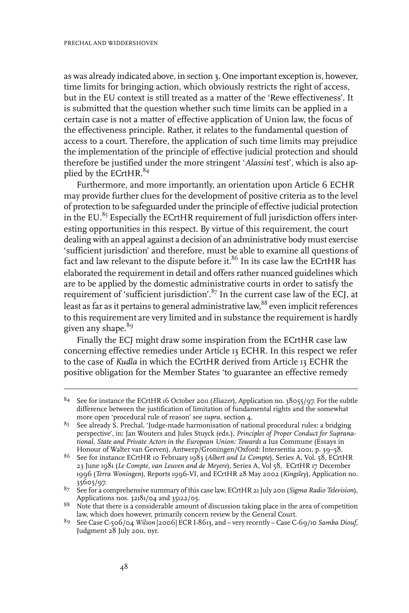as was already indicated above, in section 3. One important exception is, however, time limits for bringing action, which obviously restricts the right of access, but in the EU context is still treated as a matter of the 'Rewe effectiveness'. It is submitted that the question whether such time limits can be applied in a certain case is not a matter of effective application of Union law, the focus of the effectiveness principle. Rather, it relates to the fundamental question of access to a court. Therefore, the application of such time limits may prejudice the implementation of the principle of effective judicial protection and should therefore be justified under the more stringent '*Alassini* test', which is also applied by the ECrtHR.<sup>84</sup>

Furthermore, and more importantly, an orientation upon Article 6 ECHR may provide further clues for the development of positive criteria as to the level of protection to be safeguarded underthe principle of effective judicial protection in the EU. $^{85}$  Especially the ECrtHR requirement of full jurisdiction offers interesting opportunities in this respect. By virtue of this requirement, the court dealing with an appeal against a decision of an administrative body must exercise 'sufficient jurisdiction' and therefore, must be able to examine all questions of fact and law relevant to the dispute before it.<sup>86</sup> In its case law the ECrtHR has elaborated the requirement in detail and offers rather nuanced guidelines which are to be applied by the domestic administrative courts in order to satisfy the requirement of 'sufficient jurisdiction'.<sup>87</sup> In the current case law of the ECJ, at least as far as it pertains to general administrative law,<sup>88</sup> even implicit references to this requirement are very limited and in substance the requirement is hardly given any shape.<sup>89</sup>

Finally the ECJ might draw some inspiration from the ECrtHR case law concerning effective remedies under Article 13 ECHR. In this respect we refer to the case of *Kudla* in which the ECrtHR derived from Article 13 ECHR the positive obligation for the Member States 'to guarantee an effective remedy

<sup>&</sup>lt;sup>84</sup> See for instance the ECrtHR 16 October 2011 (*Eliazer*), Application no. 38055/97. For the subtle difference between the justification of limitation of fundamental rights and the somewhat more open 'procedural rule of reason' see *supra*, section 4.

<sup>&</sup>lt;sup>85</sup> See already S. Prechal, 'Judge-made harmonisation of national procedural rules: a bridging perspective', in: Jan Wouters and Jules Stuyck (eds.), *Principles of Proper Conduct for Supranational, State and Private Actors in the European Union: Towards a* Ius Commune (Essays in Honour of Walter van Gerven), Antwerp/Groningen/Oxford: Intersentia 2001, p. 39–58.

See for instance ECrtHR 10 February 1983 (*Albert and Le Compte*), Series A, Vol. 58, ECrtHR 86 23 June 1981 (*Le Compte, van Leuven and de Meyere*), Series A, Vol 58, ECrtHR 17 December 1996 (*Terra Woningen*), Reports 1996-VI, and ECrtHR 28 May 2002 (*Kingsley*), Application no. 35605/97.

See for a comprehensive summary of this case law, ECrtHR 21 July 2011 (*Sigma Radio Television*), 87 Applications nos. 32181/04 and 35122/05.

<sup>&</sup>lt;sup>88</sup> Note that there is a considerable amount of discussion taking place in the area of competition law, which does however, primarily concern review by the General Court.

See Case C-506/04 *Wilson* [2006] ECR I-8613, and – very recently – Case C-69/10 *Samba Diouf*, 89 Judgment 28 July 2011, nyr.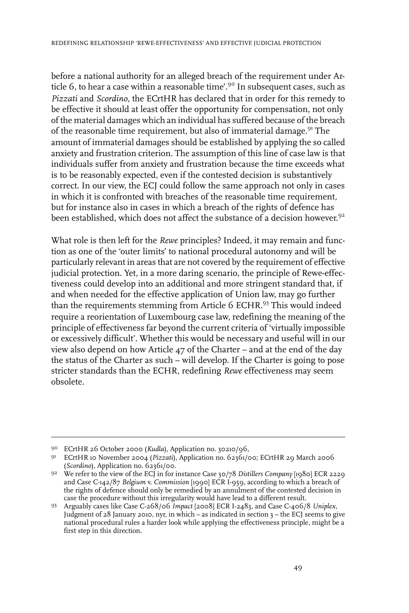before a national authority for an alleged breach of the requirement under Article 6, to hear a case within a reasonable time'.<sup>90</sup> In subsequent cases, such as *Pizzati* and *Scordino*, the ECrtHR has declared that in order for this remedy to be effective it should at least offer the opportunity for compensation, not only of the material damages which an individual has suffered because of the breach of the reasonable time requirement, but also of immaterial damage.<sup>91</sup> The amount of immaterial damages should be established by applying the so called anxiety and frustration criterion. The assumption of this line of case law is that individuals suffer from anxiety and frustration because the time exceeds what is to be reasonably expected, even if the contested decision is substantively correct. In our view, the ECJ could follow the same approach not only in cases in which it is confronted with breaches of the reasonable time requirement, but for instance also in cases in which a breach of the rights of defence has been established, which does not affect the substance of a decision however.<sup>92</sup>

What role is then left for the *Rewe* principles? Indeed, it may remain and function as one of the 'outer limits' to national procedural autonomy and will be particularly relevant in areas that are not covered by the requirement of effective judicial protection. Yet, in a more daring scenario, the principle of Rewe-effectiveness could develop into an additional and more stringent standard that, if and when needed for the effective application of Union law, may go further than the requirements stemming from Article 6 ECHR.<sup>93</sup> This would indeed require a reorientation of Luxembourg case law, redefining the meaning of the principle of effectiveness far beyond the current criteria of 'virtually impossible or excessively difficult'. Whether this would be necessary and useful will in our view also depend on how Article 47 of the Charter – and at the end of the day the status of the Charter as such – will develop. If the Charter is going to pose stricter standards than the ECHR, redefining *Rewe* effectiveness may seem obsolete.

<sup>90</sup> ECrtHR 26 October 2000 (*Kudla*), Application no. 30210/96,

<sup>&</sup>lt;sup>91</sup> ECrtHR 10 November 2004 (*Pizzati*), Application no. 62361/00; ECrtHR 29 March 2006 (*Scordino*), Application no. 62361/00.

We refer to the view of the ECJ in for instance Case 30/78 *Distillers Company* [1980] ECR 2229 92 and Case C-142/87 *Belgium* v. *Commission* [1990] ECR I-959, according to which a breach of the rights of defence should only be remedied by an annulment of the contested decision in case the procedure without this irregularity would have lead to a different result.

Arguably cases like Case C-268/06 *Impact* [2008] ECR I-2483, and Case C-406/8 *Uniplex*, 93 Judgment of 28 January 2010, nyr, in which – as indicated in section  $3$  – the ECJ seems to give national procedural rules a harder look while applying the effectiveness principle, might be a first step in this direction.